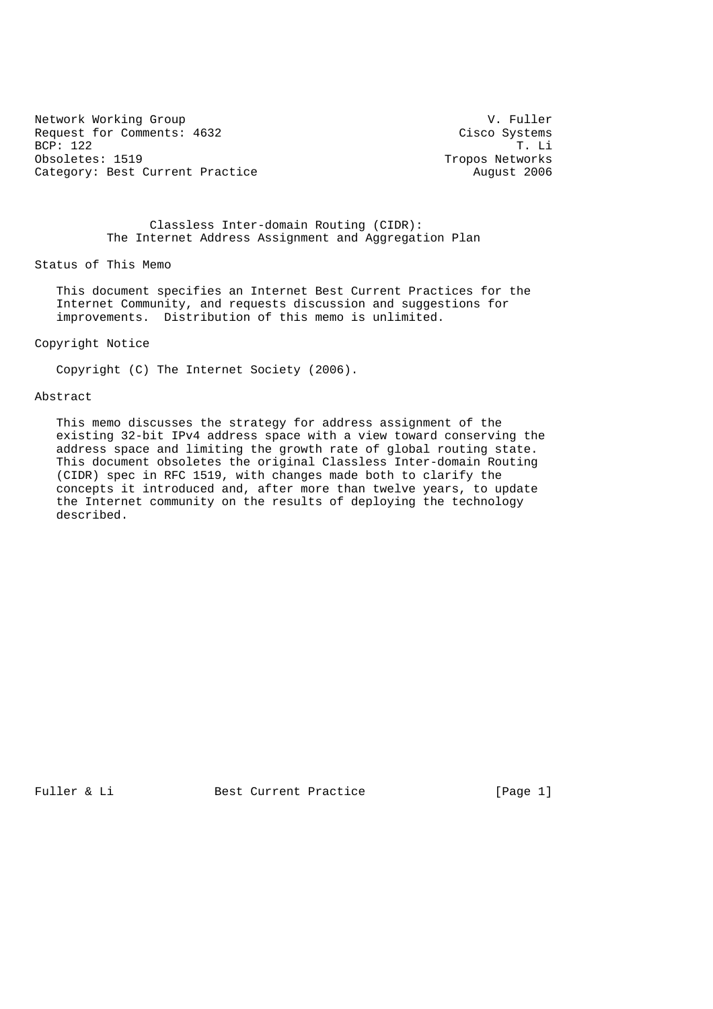Network Working Group and the set of the set of the V. Fuller Request for Comments: 4632 Cisco Systems<br>BCP: 122 T. Li BCP: 122 T. Li<br>Obsoletes: 1519 Tropos Networks Category: Best Current Practice August 2006

Tropos Networks

## Classless Inter-domain Routing (CIDR): The Internet Address Assignment and Aggregation Plan

Status of This Memo

 This document specifies an Internet Best Current Practices for the Internet Community, and requests discussion and suggestions for improvements. Distribution of this memo is unlimited.

Copyright Notice

Copyright (C) The Internet Society (2006).

#### Abstract

 This memo discusses the strategy for address assignment of the existing 32-bit IPv4 address space with a view toward conserving the address space and limiting the growth rate of global routing state. This document obsoletes the original Classless Inter-domain Routing (CIDR) spec in RFC 1519, with changes made both to clarify the concepts it introduced and, after more than twelve years, to update the Internet community on the results of deploying the technology described.

Fuller & Li Best Current Practice [Page 1]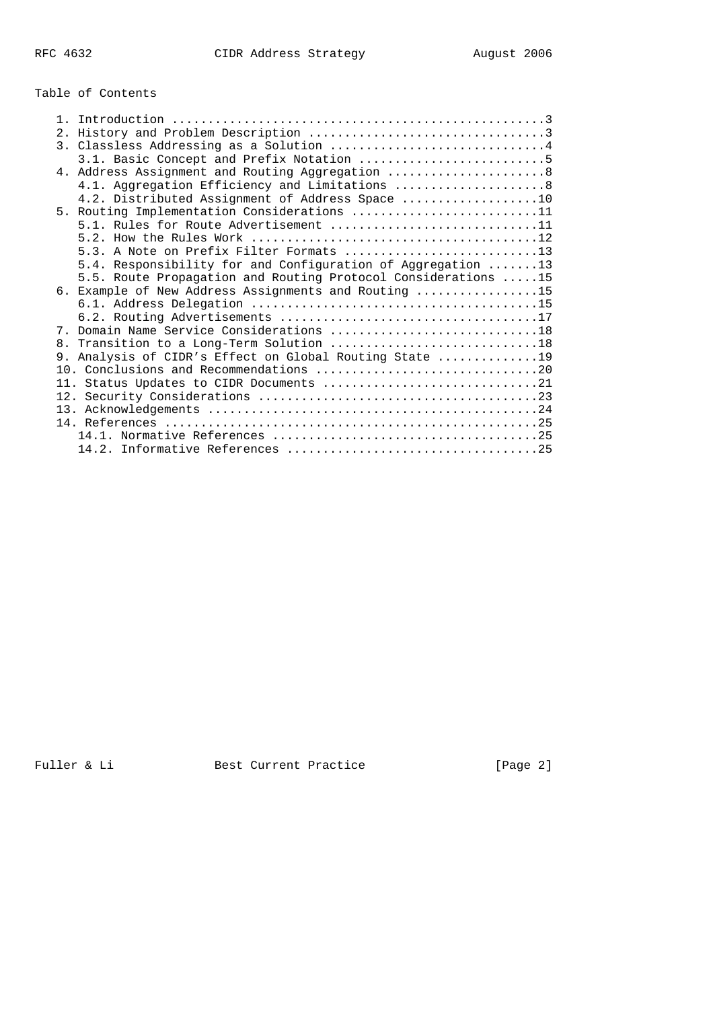# Table of Contents

|  | 3. Classless Addressing as a Solution 4                       |
|--|---------------------------------------------------------------|
|  | 3.1. Basic Concept and Prefix Notation 5                      |
|  | 4. Address Assignment and Routing Aggregation  8              |
|  | 4.1. Aggregation Efficiency and Limitations  8                |
|  | 4.2. Distributed Assignment of Address Space 10               |
|  | 5. Routing Implementation Considerations 11                   |
|  | 5.1. Rules for Route Advertisement 11                         |
|  |                                                               |
|  | 5.3. A Note on Prefix Filter Formats 13                       |
|  | 5.4. Responsibility for and Configuration of Aggregation 13   |
|  | 5.5. Route Propagation and Routing Protocol Considerations 15 |
|  | 6. Example of New Address Assignments and Routing 15          |
|  |                                                               |
|  |                                                               |
|  | 7. Domain Name Service Considerations 18                      |
|  | 8. Transition to a Long-Term Solution 18                      |
|  | 9. Analysis of CIDR's Effect on Global Routing State 19       |
|  |                                                               |
|  | 11. Status Updates to CIDR Documents 21                       |
|  |                                                               |
|  |                                                               |
|  |                                                               |
|  |                                                               |
|  |                                                               |

Fuller & Li **Best Current Practice** [Page 2]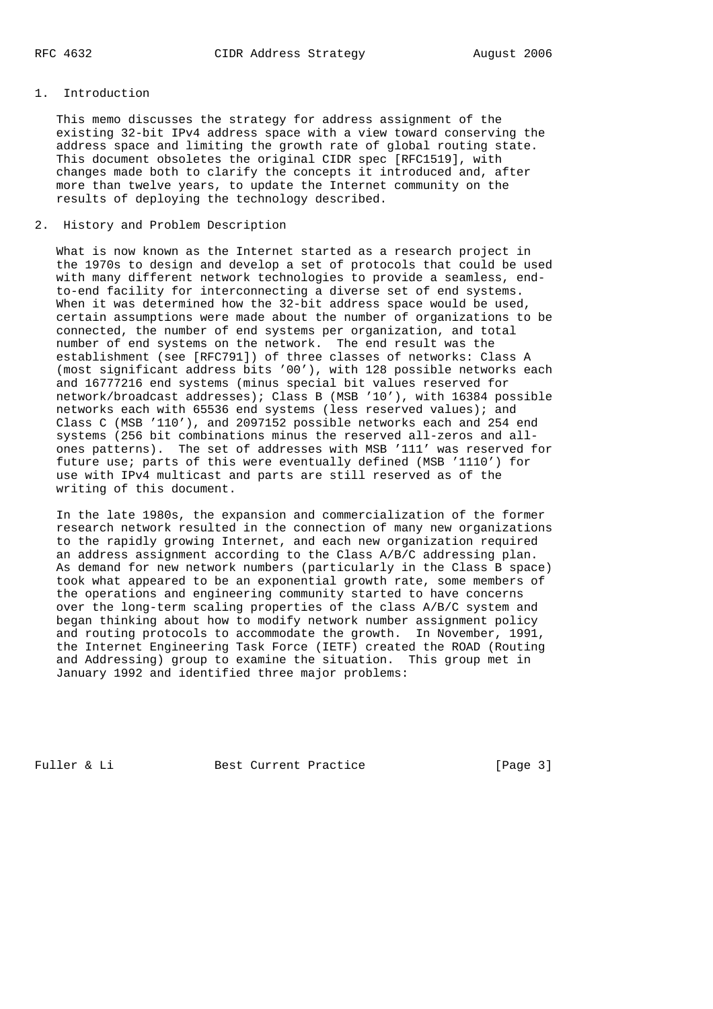### 1. Introduction

 This memo discusses the strategy for address assignment of the existing 32-bit IPv4 address space with a view toward conserving the address space and limiting the growth rate of global routing state. This document obsoletes the original CIDR spec [RFC1519], with changes made both to clarify the concepts it introduced and, after more than twelve years, to update the Internet community on the results of deploying the technology described.

### 2. History and Problem Description

 What is now known as the Internet started as a research project in the 1970s to design and develop a set of protocols that could be used with many different network technologies to provide a seamless, end to-end facility for interconnecting a diverse set of end systems. When it was determined how the 32-bit address space would be used, certain assumptions were made about the number of organizations to be connected, the number of end systems per organization, and total number of end systems on the network. The end result was the establishment (see [RFC791]) of three classes of networks: Class A (most significant address bits '00'), with 128 possible networks each and 16777216 end systems (minus special bit values reserved for network/broadcast addresses); Class B (MSB '10'), with 16384 possible networks each with 65536 end systems (less reserved values); and Class C (MSB '110'), and 2097152 possible networks each and 254 end systems (256 bit combinations minus the reserved all-zeros and all ones patterns). The set of addresses with MSB '111' was reserved for future use; parts of this were eventually defined (MSB '1110') for use with IPv4 multicast and parts are still reserved as of the writing of this document.

 In the late 1980s, the expansion and commercialization of the former research network resulted in the connection of many new organizations to the rapidly growing Internet, and each new organization required an address assignment according to the Class A/B/C addressing plan. As demand for new network numbers (particularly in the Class B space) took what appeared to be an exponential growth rate, some members of the operations and engineering community started to have concerns over the long-term scaling properties of the class A/B/C system and began thinking about how to modify network number assignment policy and routing protocols to accommodate the growth. In November, 1991, the Internet Engineering Task Force (IETF) created the ROAD (Routing and Addressing) group to examine the situation. This group met in January 1992 and identified three major problems:

Fuller & Li Best Current Practice [Page 3]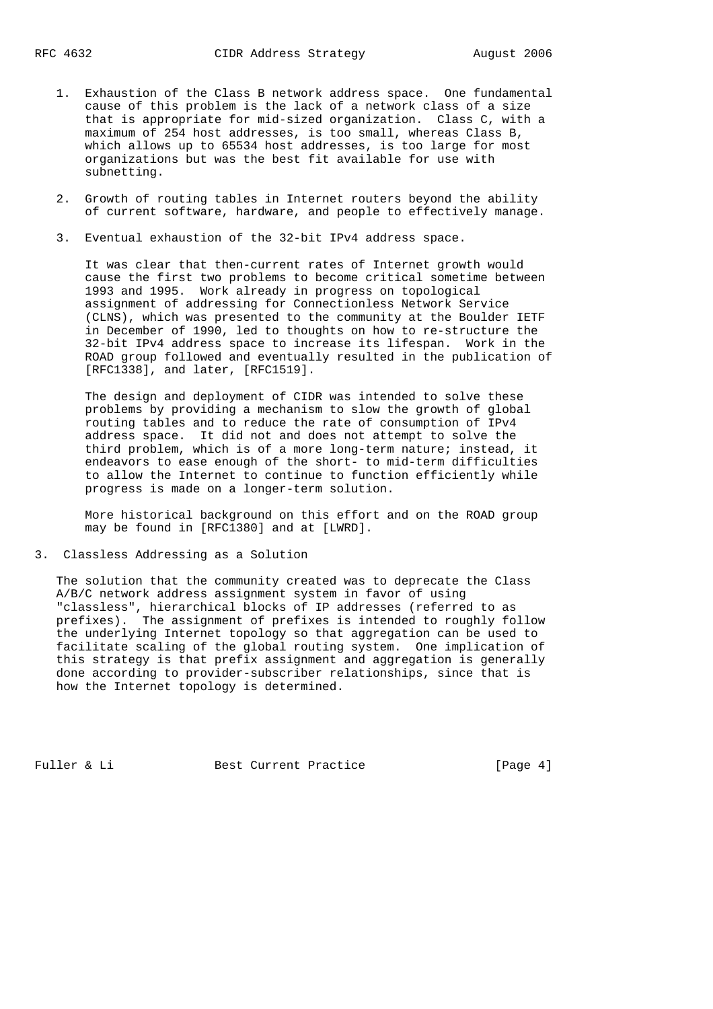- 1. Exhaustion of the Class B network address space. One fundamental cause of this problem is the lack of a network class of a size that is appropriate for mid-sized organization. Class C, with a maximum of 254 host addresses, is too small, whereas Class B, which allows up to 65534 host addresses, is too large for most organizations but was the best fit available for use with subnetting.
- 2. Growth of routing tables in Internet routers beyond the ability of current software, hardware, and people to effectively manage.
- 3. Eventual exhaustion of the 32-bit IPv4 address space.

 It was clear that then-current rates of Internet growth would cause the first two problems to become critical sometime between 1993 and 1995. Work already in progress on topological assignment of addressing for Connectionless Network Service (CLNS), which was presented to the community at the Boulder IETF in December of 1990, led to thoughts on how to re-structure the 32-bit IPv4 address space to increase its lifespan. Work in the ROAD group followed and eventually resulted in the publication of [RFC1338], and later, [RFC1519].

 The design and deployment of CIDR was intended to solve these problems by providing a mechanism to slow the growth of global routing tables and to reduce the rate of consumption of IPv4 address space. It did not and does not attempt to solve the third problem, which is of a more long-term nature; instead, it endeavors to ease enough of the short- to mid-term difficulties to allow the Internet to continue to function efficiently while progress is made on a longer-term solution.

 More historical background on this effort and on the ROAD group may be found in [RFC1380] and at [LWRD].

3. Classless Addressing as a Solution

 The solution that the community created was to deprecate the Class A/B/C network address assignment system in favor of using "classless", hierarchical blocks of IP addresses (referred to as prefixes). The assignment of prefixes is intended to roughly follow the underlying Internet topology so that aggregation can be used to facilitate scaling of the global routing system. One implication of this strategy is that prefix assignment and aggregation is generally done according to provider-subscriber relationships, since that is how the Internet topology is determined.

Fuller & Li Best Current Practice [Page 4]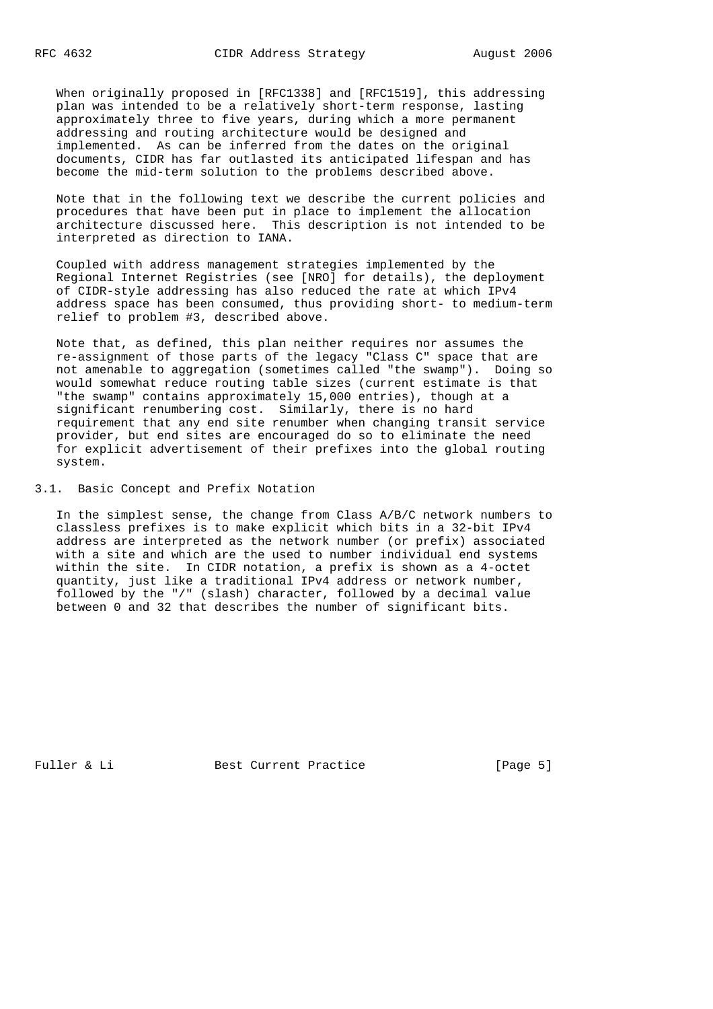When originally proposed in [RFC1338] and [RFC1519], this addressing plan was intended to be a relatively short-term response, lasting approximately three to five years, during which a more permanent addressing and routing architecture would be designed and implemented. As can be inferred from the dates on the original documents, CIDR has far outlasted its anticipated lifespan and has become the mid-term solution to the problems described above.

 Note that in the following text we describe the current policies and procedures that have been put in place to implement the allocation architecture discussed here. This description is not intended to be interpreted as direction to IANA.

 Coupled with address management strategies implemented by the Regional Internet Registries (see [NRO] for details), the deployment of CIDR-style addressing has also reduced the rate at which IPv4 address space has been consumed, thus providing short- to medium-term relief to problem #3, described above.

 Note that, as defined, this plan neither requires nor assumes the re-assignment of those parts of the legacy "Class C" space that are not amenable to aggregation (sometimes called "the swamp"). Doing so would somewhat reduce routing table sizes (current estimate is that "the swamp" contains approximately 15,000 entries), though at a significant renumbering cost. Similarly, there is no hard requirement that any end site renumber when changing transit service provider, but end sites are encouraged do so to eliminate the need for explicit advertisement of their prefixes into the global routing system.

3.1. Basic Concept and Prefix Notation

 In the simplest sense, the change from Class A/B/C network numbers to classless prefixes is to make explicit which bits in a 32-bit IPv4 address are interpreted as the network number (or prefix) associated with a site and which are the used to number individual end systems within the site. In CIDR notation, a prefix is shown as a 4-octet quantity, just like a traditional IPv4 address or network number, followed by the "/" (slash) character, followed by a decimal value between 0 and 32 that describes the number of significant bits.

Fuller & Li Best Current Practice [Page 5]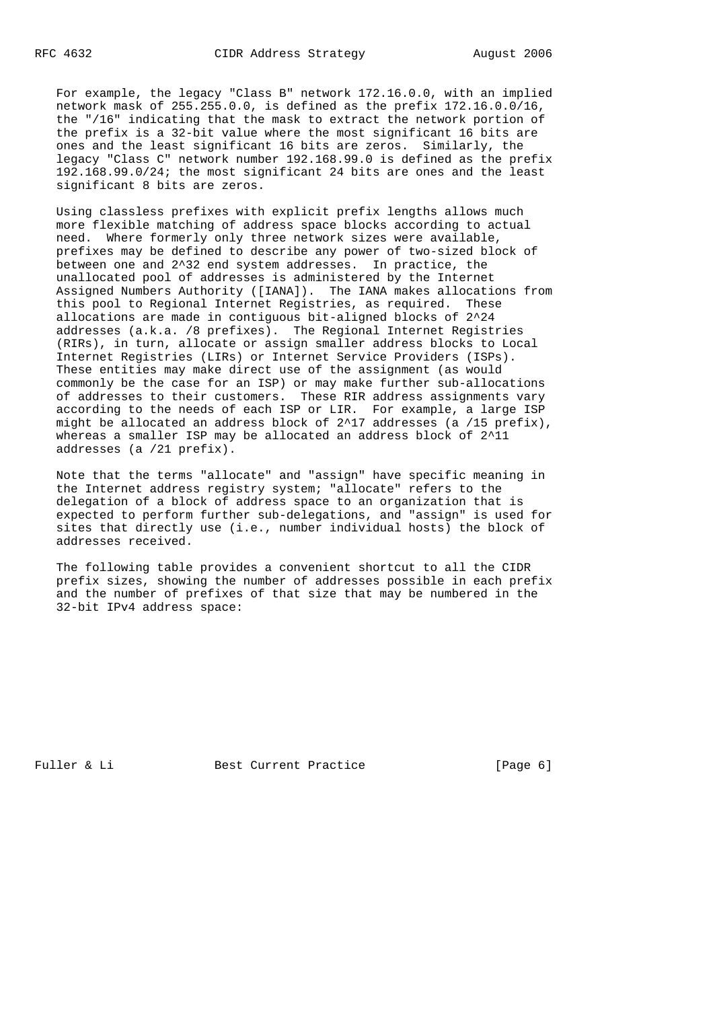For example, the legacy "Class B" network 172.16.0.0, with an implied network mask of 255.255.0.0, is defined as the prefix 172.16.0.0/16, the "/16" indicating that the mask to extract the network portion of the prefix is a 32-bit value where the most significant 16 bits are ones and the least significant 16 bits are zeros. Similarly, the legacy "Class C" network number 192.168.99.0 is defined as the prefix 192.168.99.0/24; the most significant 24 bits are ones and the least significant 8 bits are zeros.

 Using classless prefixes with explicit prefix lengths allows much more flexible matching of address space blocks according to actual need. Where formerly only three network sizes were available, prefixes may be defined to describe any power of two-sized block of between one and 2^32 end system addresses. In practice, the unallocated pool of addresses is administered by the Internet Assigned Numbers Authority ([IANA]). The IANA makes allocations from this pool to Regional Internet Registries, as required. These allocations are made in contiguous bit-aligned blocks of 2^24 addresses (a.k.a. /8 prefixes). The Regional Internet Registries (RIRs), in turn, allocate or assign smaller address blocks to Local Internet Registries (LIRs) or Internet Service Providers (ISPs). These entities may make direct use of the assignment (as would commonly be the case for an ISP) or may make further sub-allocations of addresses to their customers. These RIR address assignments vary according to the needs of each ISP or LIR. For example, a large ISP might be allocated an address block of 2^17 addresses (a /15 prefix), whereas a smaller ISP may be allocated an address block of 2^11 addresses (a /21 prefix).

 Note that the terms "allocate" and "assign" have specific meaning in the Internet address registry system; "allocate" refers to the delegation of a block of address space to an organization that is expected to perform further sub-delegations, and "assign" is used for sites that directly use (i.e., number individual hosts) the block of addresses received.

 The following table provides a convenient shortcut to all the CIDR prefix sizes, showing the number of addresses possible in each prefix and the number of prefixes of that size that may be numbered in the 32-bit IPv4 address space:

Fuller & Li Best Current Practice [Page 6]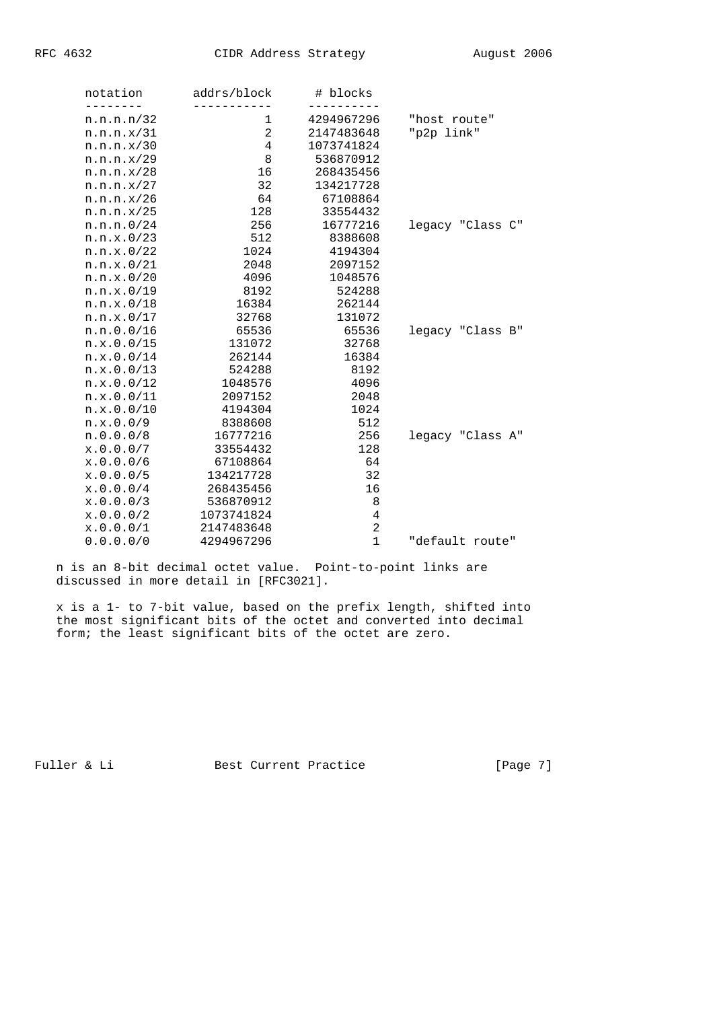| notation   | addrs/block | # blocks       |                  |
|------------|-------------|----------------|------------------|
| n.n.n.n/32 | 1           | 4294967296     | "host route"     |
| n.n.n.x/31 | 2           | 2147483648     | "p2p link"       |
| n.n.n.x/30 | 4           | 1073741824     |                  |
| n.n.n.x/29 | 8           | 536870912      |                  |
| n.n.n.x/28 | 16          | 268435456      |                  |
| n.n.n.x/27 | 32          | 134217728      |                  |
| n.n.n.x/26 | 64          | 67108864       |                  |
| n.n.n.x/25 | 128         | 33554432       |                  |
| n.n.n.0/24 | 256         | 16777216       | legacy "Class C" |
| n.n.x.0/23 | 512         | 8388608        |                  |
| n.n.x.0/22 | 1024        | 4194304        |                  |
| n.n.x.0/21 | 2048        | 2097152        |                  |
| n.n.x.0/20 | 4096        | 1048576        |                  |
| n.n.x.0/19 | 8192        | 524288         |                  |
| n.n.x.0/18 | 16384       | 262144         |                  |
| n.n.x.0/17 | 32768       | 131072         |                  |
| n.n.0.0/16 | 65536       | 65536          | legacy "Class B" |
| n.x.0.0/15 | 131072      | 32768          |                  |
| n.x.0.0/14 | 262144      | 16384          |                  |
| n.x.0.0/13 | 524288      | 8192           |                  |
| n.x.0.0/12 | 1048576     | 4096           |                  |
| n.x.0.0/11 | 2097152     | 2048           |                  |
| n.x.0.0/10 | 4194304     | 1024           |                  |
| n.x.0.0/9  | 8388608     | 512            |                  |
| n.0.0.0/8  | 16777216    | 256            | legacy "Class A" |
| x.0.0.0/7  | 33554432    | 128            |                  |
| x.0.0.0/6  | 67108864    | 64             |                  |
| x.0.0.0/5  | 134217728   | 32             |                  |
| x.0.0.0/4  | 268435456   | 16             |                  |
| x.0.0.0/3  | 536870912   | 8              |                  |
| x.0.0.0/2  | 1073741824  | $\,4$          |                  |
| x.0.0.0/1  | 2147483648  | $\overline{a}$ |                  |
| 0.0.0.0/0  | 4294967296  | $\mathbf{1}$   | "default route"  |

 n is an 8-bit decimal octet value. Point-to-point links are discussed in more detail in [RFC3021].

 x is a 1- to 7-bit value, based on the prefix length, shifted into the most significant bits of the octet and converted into decimal form; the least significant bits of the octet are zero.

Fuller & Li Best Current Practice [Page 7]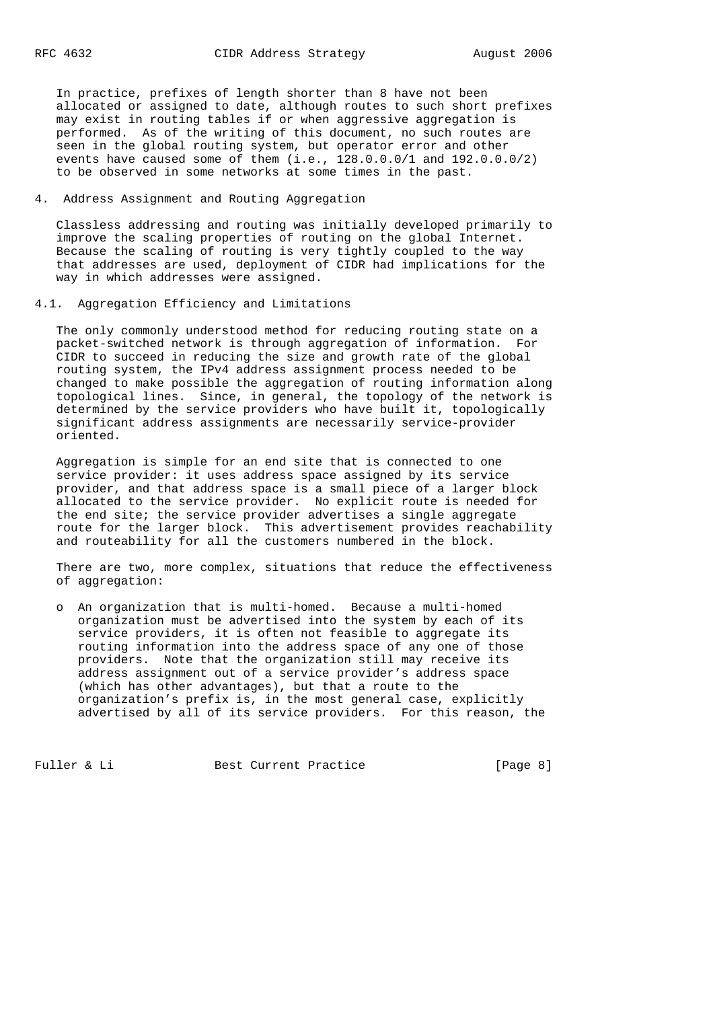In practice, prefixes of length shorter than 8 have not been allocated or assigned to date, although routes to such short prefixes may exist in routing tables if or when aggressive aggregation is performed. As of the writing of this document, no such routes are seen in the global routing system, but operator error and other events have caused some of them (i.e., 128.0.0.0/1 and 192.0.0.0/2) to be observed in some networks at some times in the past.

# 4. Address Assignment and Routing Aggregation

 Classless addressing and routing was initially developed primarily to improve the scaling properties of routing on the global Internet. Because the scaling of routing is very tightly coupled to the way that addresses are used, deployment of CIDR had implications for the way in which addresses were assigned.

4.1. Aggregation Efficiency and Limitations

 The only commonly understood method for reducing routing state on a packet-switched network is through aggregation of information. For CIDR to succeed in reducing the size and growth rate of the global routing system, the IPv4 address assignment process needed to be changed to make possible the aggregation of routing information along topological lines. Since, in general, the topology of the network is determined by the service providers who have built it, topologically significant address assignments are necessarily service-provider oriented.

 Aggregation is simple for an end site that is connected to one service provider: it uses address space assigned by its service provider, and that address space is a small piece of a larger block allocated to the service provider. No explicit route is needed for the end site; the service provider advertises a single aggregate route for the larger block. This advertisement provides reachability and routeability for all the customers numbered in the block.

 There are two, more complex, situations that reduce the effectiveness of aggregation:

 o An organization that is multi-homed. Because a multi-homed organization must be advertised into the system by each of its service providers, it is often not feasible to aggregate its routing information into the address space of any one of those providers. Note that the organization still may receive its address assignment out of a service provider's address space (which has other advantages), but that a route to the organization's prefix is, in the most general case, explicitly advertised by all of its service providers. For this reason, the

Fuller & Li Best Current Practice [Page 8]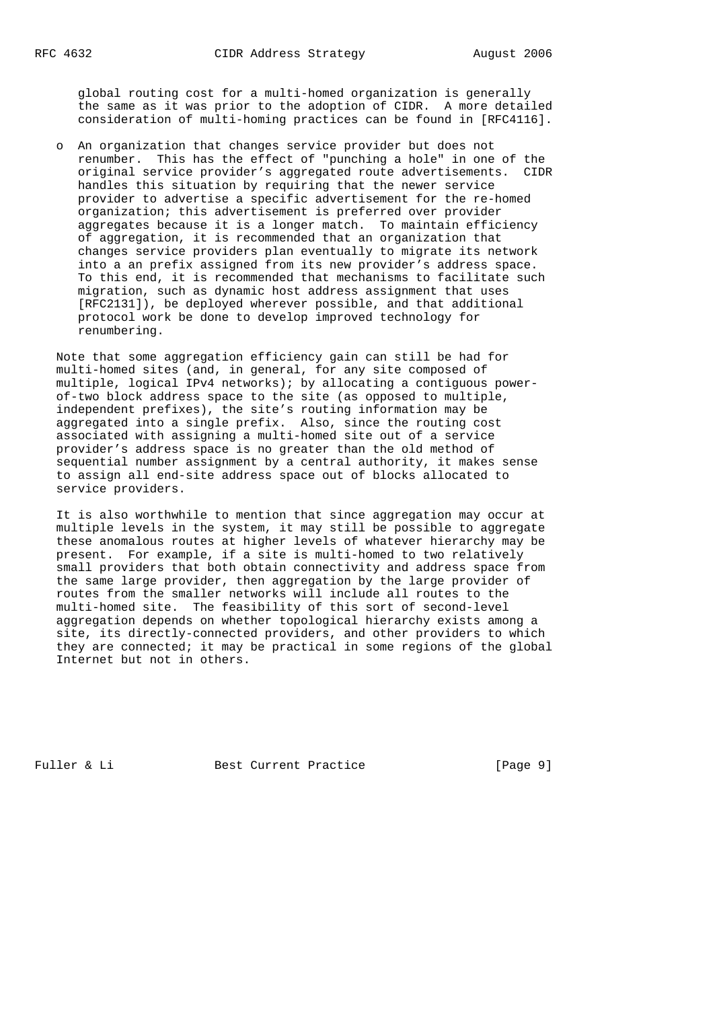global routing cost for a multi-homed organization is generally the same as it was prior to the adoption of CIDR. A more detailed consideration of multi-homing practices can be found in [RFC4116].

 o An organization that changes service provider but does not renumber. This has the effect of "punching a hole" in one of the original service provider's aggregated route advertisements. CIDR handles this situation by requiring that the newer service provider to advertise a specific advertisement for the re-homed organization; this advertisement is preferred over provider aggregates because it is a longer match. To maintain efficiency of aggregation, it is recommended that an organization that changes service providers plan eventually to migrate its network into a an prefix assigned from its new provider's address space. To this end, it is recommended that mechanisms to facilitate such migration, such as dynamic host address assignment that uses [RFC2131]), be deployed wherever possible, and that additional protocol work be done to develop improved technology for renumbering.

 Note that some aggregation efficiency gain can still be had for multi-homed sites (and, in general, for any site composed of multiple, logical IPv4 networks); by allocating a contiguous power of-two block address space to the site (as opposed to multiple, independent prefixes), the site's routing information may be aggregated into a single prefix. Also, since the routing cost associated with assigning a multi-homed site out of a service provider's address space is no greater than the old method of sequential number assignment by a central authority, it makes sense to assign all end-site address space out of blocks allocated to service providers.

 It is also worthwhile to mention that since aggregation may occur at multiple levels in the system, it may still be possible to aggregate these anomalous routes at higher levels of whatever hierarchy may be present. For example, if a site is multi-homed to two relatively small providers that both obtain connectivity and address space from the same large provider, then aggregation by the large provider of routes from the smaller networks will include all routes to the multi-homed site. The feasibility of this sort of second-level aggregation depends on whether topological hierarchy exists among a site, its directly-connected providers, and other providers to which they are connected; it may be practical in some regions of the global Internet but not in others.

Fuller & Li Best Current Practice [Page 9]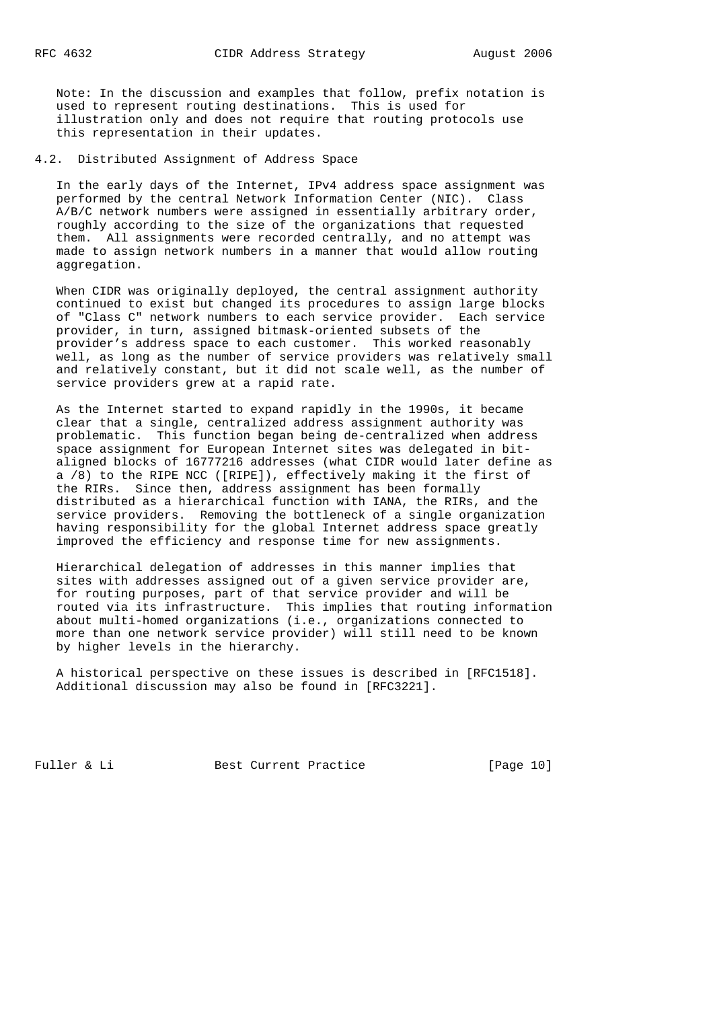Note: In the discussion and examples that follow, prefix notation is used to represent routing destinations. This is used for illustration only and does not require that routing protocols use this representation in their updates.

4.2. Distributed Assignment of Address Space

 In the early days of the Internet, IPv4 address space assignment was performed by the central Network Information Center (NIC). Class A/B/C network numbers were assigned in essentially arbitrary order, roughly according to the size of the organizations that requested them. All assignments were recorded centrally, and no attempt was made to assign network numbers in a manner that would allow routing aggregation.

 When CIDR was originally deployed, the central assignment authority continued to exist but changed its procedures to assign large blocks of "Class C" network numbers to each service provider. Each service provider, in turn, assigned bitmask-oriented subsets of the provider's address space to each customer. This worked reasonably well, as long as the number of service providers was relatively small and relatively constant, but it did not scale well, as the number of service providers grew at a rapid rate.

 As the Internet started to expand rapidly in the 1990s, it became clear that a single, centralized address assignment authority was problematic. This function began being de-centralized when address space assignment for European Internet sites was delegated in bit aligned blocks of 16777216 addresses (what CIDR would later define as a /8) to the RIPE NCC ([RIPE]), effectively making it the first of the RIRs. Since then, address assignment has been formally distributed as a hierarchical function with IANA, the RIRs, and the service providers. Removing the bottleneck of a single organization having responsibility for the global Internet address space greatly improved the efficiency and response time for new assignments.

 Hierarchical delegation of addresses in this manner implies that sites with addresses assigned out of a given service provider are, for routing purposes, part of that service provider and will be routed via its infrastructure. This implies that routing information about multi-homed organizations (i.e., organizations connected to more than one network service provider) will still need to be known by higher levels in the hierarchy.

 A historical perspective on these issues is described in [RFC1518]. Additional discussion may also be found in [RFC3221].

Fuller & Li Best Current Practice [Page 10]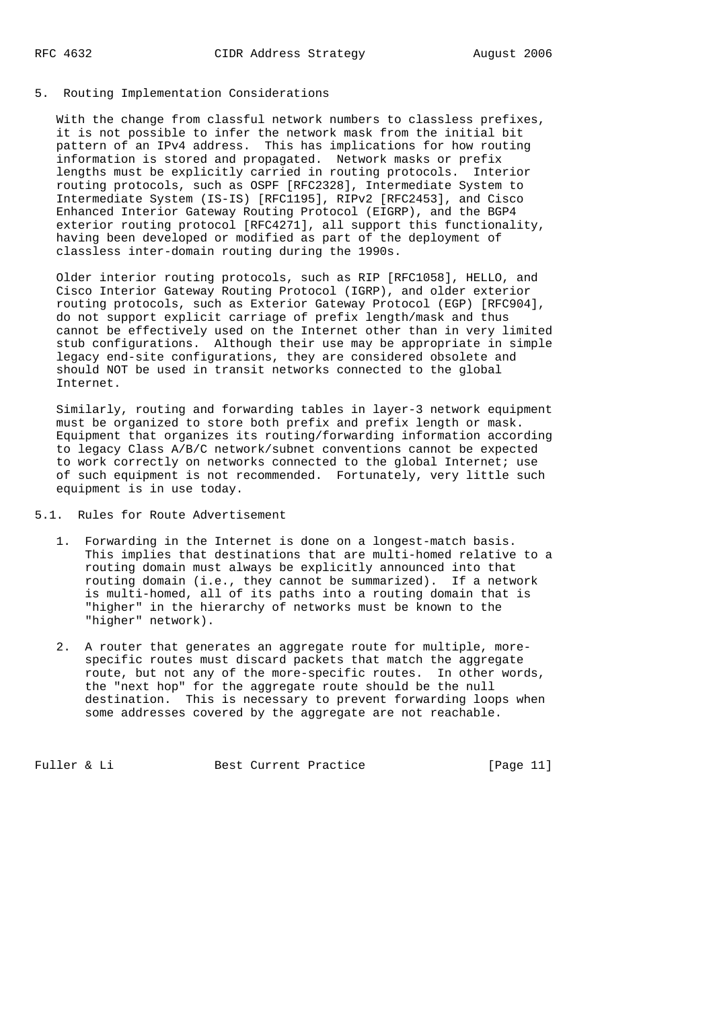#### 5. Routing Implementation Considerations

 With the change from classful network numbers to classless prefixes, it is not possible to infer the network mask from the initial bit pattern of an IPv4 address. This has implications for how routing information is stored and propagated. Network masks or prefix lengths must be explicitly carried in routing protocols. Interior routing protocols, such as OSPF [RFC2328], Intermediate System to Intermediate System (IS-IS) [RFC1195], RIPv2 [RFC2453], and Cisco Enhanced Interior Gateway Routing Protocol (EIGRP), and the BGP4 exterior routing protocol [RFC4271], all support this functionality, having been developed or modified as part of the deployment of classless inter-domain routing during the 1990s.

 Older interior routing protocols, such as RIP [RFC1058], HELLO, and Cisco Interior Gateway Routing Protocol (IGRP), and older exterior routing protocols, such as Exterior Gateway Protocol (EGP) [RFC904], do not support explicit carriage of prefix length/mask and thus cannot be effectively used on the Internet other than in very limited stub configurations. Although their use may be appropriate in simple legacy end-site configurations, they are considered obsolete and should NOT be used in transit networks connected to the global Internet.

 Similarly, routing and forwarding tables in layer-3 network equipment must be organized to store both prefix and prefix length or mask. Equipment that organizes its routing/forwarding information according to legacy Class A/B/C network/subnet conventions cannot be expected to work correctly on networks connected to the global Internet; use of such equipment is not recommended. Fortunately, very little such equipment is in use today.

5.1. Rules for Route Advertisement

- 1. Forwarding in the Internet is done on a longest-match basis. This implies that destinations that are multi-homed relative to a routing domain must always be explicitly announced into that routing domain (i.e., they cannot be summarized). If a network is multi-homed, all of its paths into a routing domain that is "higher" in the hierarchy of networks must be known to the "higher" network).
- 2. A router that generates an aggregate route for multiple, more specific routes must discard packets that match the aggregate route, but not any of the more-specific routes. In other words, the "next hop" for the aggregate route should be the null destination. This is necessary to prevent forwarding loops when some addresses covered by the aggregate are not reachable.

Fuller & Li Best Current Practice [Page 11]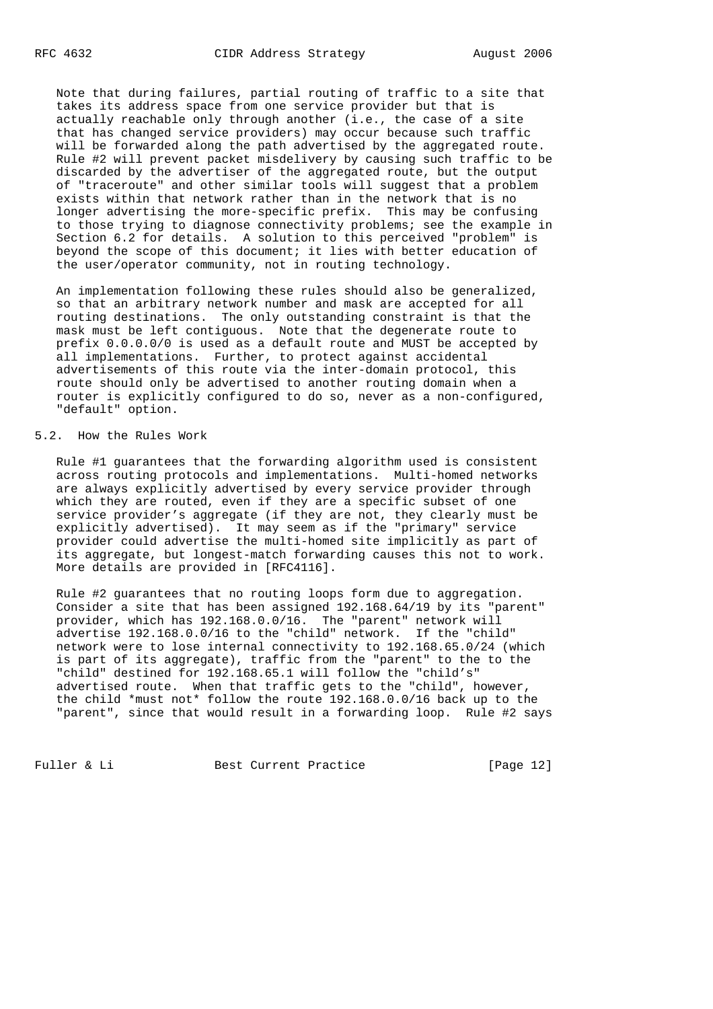Note that during failures, partial routing of traffic to a site that takes its address space from one service provider but that is actually reachable only through another (i.e., the case of a site that has changed service providers) may occur because such traffic will be forwarded along the path advertised by the aggregated route. Rule #2 will prevent packet misdelivery by causing such traffic to be discarded by the advertiser of the aggregated route, but the output of "traceroute" and other similar tools will suggest that a problem exists within that network rather than in the network that is no longer advertising the more-specific prefix. This may be confusing to those trying to diagnose connectivity problems; see the example in Section 6.2 for details. A solution to this perceived "problem" is beyond the scope of this document; it lies with better education of the user/operator community, not in routing technology.

 An implementation following these rules should also be generalized, so that an arbitrary network number and mask are accepted for all routing destinations. The only outstanding constraint is that the mask must be left contiguous. Note that the degenerate route to prefix 0.0.0.0/0 is used as a default route and MUST be accepted by all implementations. Further, to protect against accidental advertisements of this route via the inter-domain protocol, this route should only be advertised to another routing domain when a router is explicitly configured to do so, never as a non-configured, "default" option.

## 5.2. How the Rules Work

 Rule #1 guarantees that the forwarding algorithm used is consistent across routing protocols and implementations. Multi-homed networks are always explicitly advertised by every service provider through which they are routed, even if they are a specific subset of one service provider's aggregate (if they are not, they clearly must be explicitly advertised). It may seem as if the "primary" service provider could advertise the multi-homed site implicitly as part of its aggregate, but longest-match forwarding causes this not to work. More details are provided in [RFC4116].

 Rule #2 guarantees that no routing loops form due to aggregation. Consider a site that has been assigned 192.168.64/19 by its "parent" provider, which has 192.168.0.0/16. The "parent" network will advertise 192.168.0.0/16 to the "child" network. If the "child" network were to lose internal connectivity to 192.168.65.0/24 (which is part of its aggregate), traffic from the "parent" to the to the "child" destined for 192.168.65.1 will follow the "child's" advertised route. When that traffic gets to the "child", however, the child \*must not\* follow the route 192.168.0.0/16 back up to the "parent", since that would result in a forwarding loop. Rule #2 says

Fuller & Li Best Current Practice [Page 12]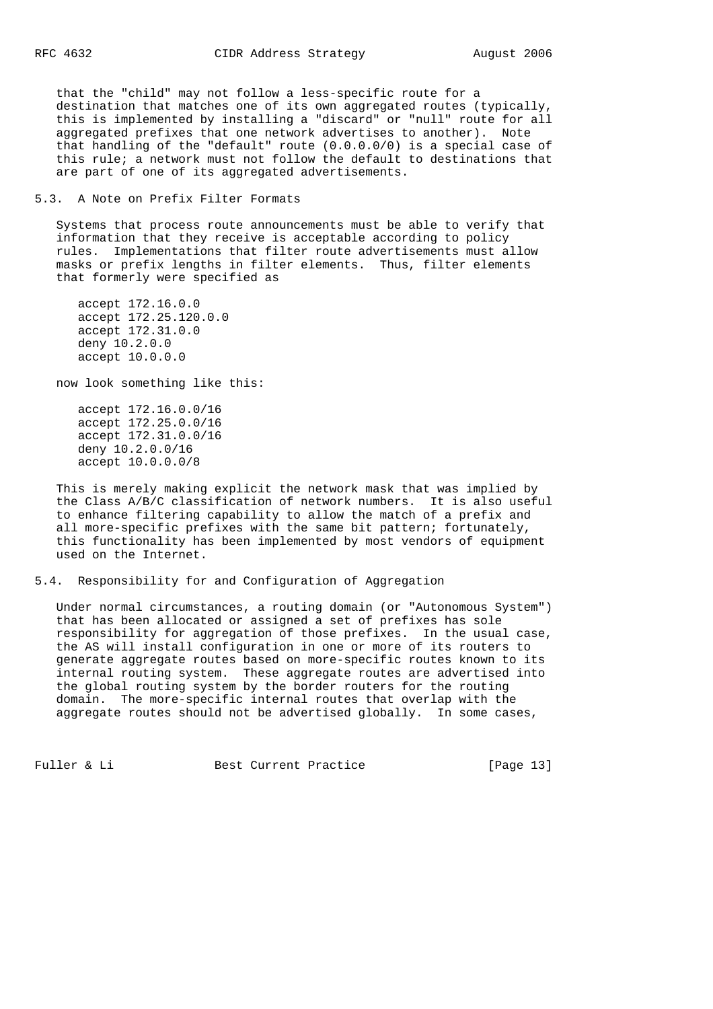that the "child" may not follow a less-specific route for a destination that matches one of its own aggregated routes (typically, this is implemented by installing a "discard" or "null" route for all aggregated prefixes that one network advertises to another). Note that handling of the "default" route (0.0.0.0/0) is a special case of this rule; a network must not follow the default to destinations that are part of one of its aggregated advertisements.

5.3. A Note on Prefix Filter Formats

 Systems that process route announcements must be able to verify that information that they receive is acceptable according to policy rules. Implementations that filter route advertisements must allow masks or prefix lengths in filter elements. Thus, filter elements that formerly were specified as

 accept 172.16.0.0 accept 172.25.120.0.0 accept 172.31.0.0 deny 10.2.0.0 accept 10.0.0.0

now look something like this:

 accept 172.16.0.0/16 accept 172.25.0.0/16 accept 172.31.0.0/16 deny 10.2.0.0/16 accept 10.0.0.0/8

 This is merely making explicit the network mask that was implied by the Class A/B/C classification of network numbers. It is also useful to enhance filtering capability to allow the match of a prefix and all more-specific prefixes with the same bit pattern; fortunately, this functionality has been implemented by most vendors of equipment used on the Internet.

5.4. Responsibility for and Configuration of Aggregation

 Under normal circumstances, a routing domain (or "Autonomous System") that has been allocated or assigned a set of prefixes has sole responsibility for aggregation of those prefixes. In the usual case, the AS will install configuration in one or more of its routers to generate aggregate routes based on more-specific routes known to its internal routing system. These aggregate routes are advertised into the global routing system by the border routers for the routing domain. The more-specific internal routes that overlap with the aggregate routes should not be advertised globally. In some cases,

Fuller & Li Best Current Practice [Page 13]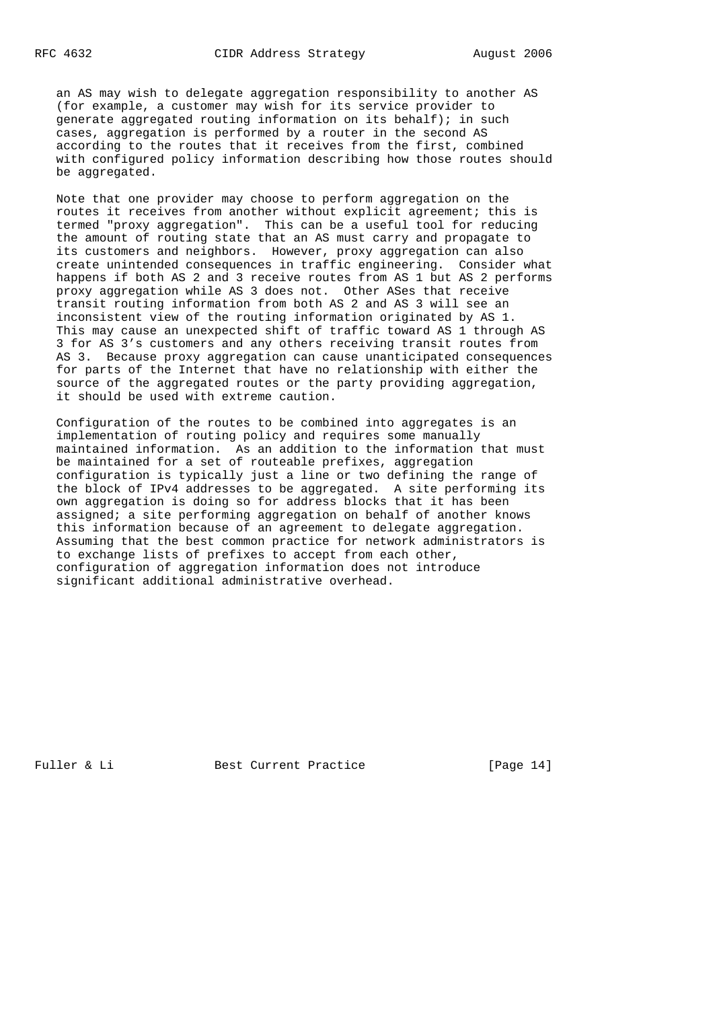an AS may wish to delegate aggregation responsibility to another AS (for example, a customer may wish for its service provider to generate aggregated routing information on its behalf); in such cases, aggregation is performed by a router in the second AS according to the routes that it receives from the first, combined with configured policy information describing how those routes should be aggregated.

 Note that one provider may choose to perform aggregation on the routes it receives from another without explicit agreement; this is termed "proxy aggregation". This can be a useful tool for reducing the amount of routing state that an AS must carry and propagate to its customers and neighbors. However, proxy aggregation can also create unintended consequences in traffic engineering. Consider what happens if both AS 2 and 3 receive routes from AS 1 but AS 2 performs proxy aggregation while AS 3 does not. Other ASes that receive transit routing information from both AS 2 and AS 3 will see an inconsistent view of the routing information originated by AS 1. This may cause an unexpected shift of traffic toward AS 1 through AS 3 for AS 3's customers and any others receiving transit routes from AS 3. Because proxy aggregation can cause unanticipated consequences for parts of the Internet that have no relationship with either the source of the aggregated routes or the party providing aggregation, it should be used with extreme caution.

 Configuration of the routes to be combined into aggregates is an implementation of routing policy and requires some manually maintained information. As an addition to the information that must be maintained for a set of routeable prefixes, aggregation configuration is typically just a line or two defining the range of the block of IPv4 addresses to be aggregated. A site performing its own aggregation is doing so for address blocks that it has been assigned; a site performing aggregation on behalf of another knows this information because of an agreement to delegate aggregation. Assuming that the best common practice for network administrators is to exchange lists of prefixes to accept from each other, configuration of aggregation information does not introduce significant additional administrative overhead.

Fuller & Li Best Current Practice [Page 14]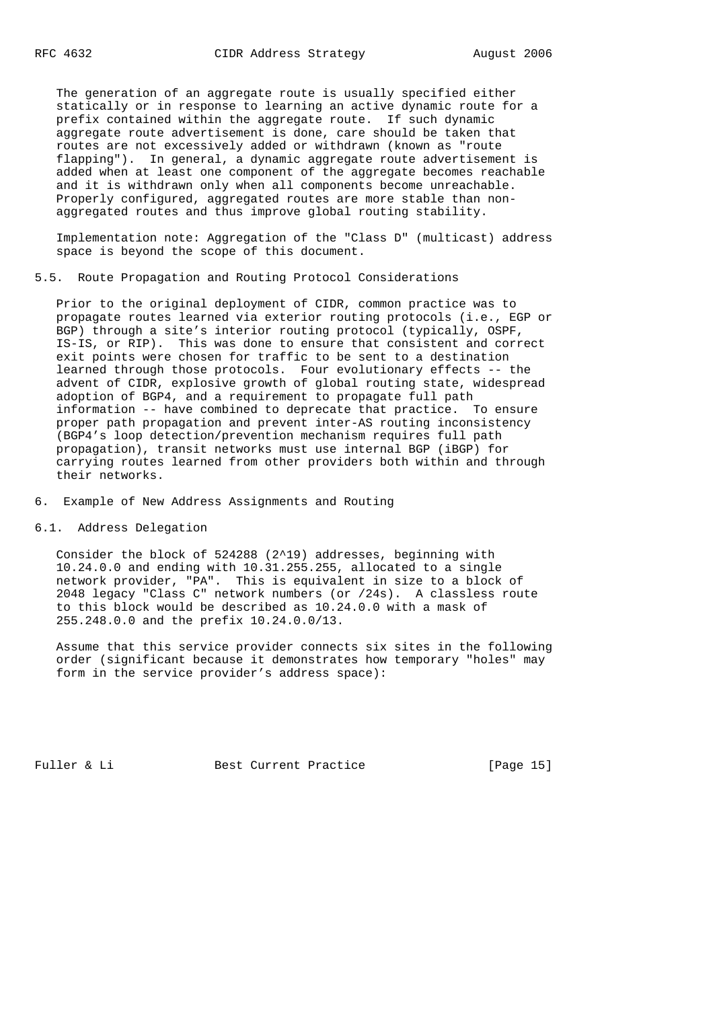The generation of an aggregate route is usually specified either statically or in response to learning an active dynamic route for a prefix contained within the aggregate route. If such dynamic aggregate route advertisement is done, care should be taken that routes are not excessively added or withdrawn (known as "route flapping"). In general, a dynamic aggregate route advertisement is added when at least one component of the aggregate becomes reachable and it is withdrawn only when all components become unreachable. Properly configured, aggregated routes are more stable than non aggregated routes and thus improve global routing stability.

 Implementation note: Aggregation of the "Class D" (multicast) address space is beyond the scope of this document.

5.5. Route Propagation and Routing Protocol Considerations

 Prior to the original deployment of CIDR, common practice was to propagate routes learned via exterior routing protocols (i.e., EGP or BGP) through a site's interior routing protocol (typically, OSPF, IS-IS, or RIP). This was done to ensure that consistent and correct exit points were chosen for traffic to be sent to a destination learned through those protocols. Four evolutionary effects -- the advent of CIDR, explosive growth of global routing state, widespread adoption of BGP4, and a requirement to propagate full path information -- have combined to deprecate that practice. To ensure proper path propagation and prevent inter-AS routing inconsistency (BGP4's loop detection/prevention mechanism requires full path propagation), transit networks must use internal BGP (iBGP) for carrying routes learned from other providers both within and through their networks.

6. Example of New Address Assignments and Routing

6.1. Address Delegation

 Consider the block of 524288 (2^19) addresses, beginning with 10.24.0.0 and ending with 10.31.255.255, allocated to a single network provider, "PA". This is equivalent in size to a block of 2048 legacy "Class C" network numbers (or /24s). A classless route to this block would be described as 10.24.0.0 with a mask of 255.248.0.0 and the prefix 10.24.0.0/13.

 Assume that this service provider connects six sites in the following order (significant because it demonstrates how temporary "holes" may form in the service provider's address space):

Fuller & Li Best Current Practice [Page 15]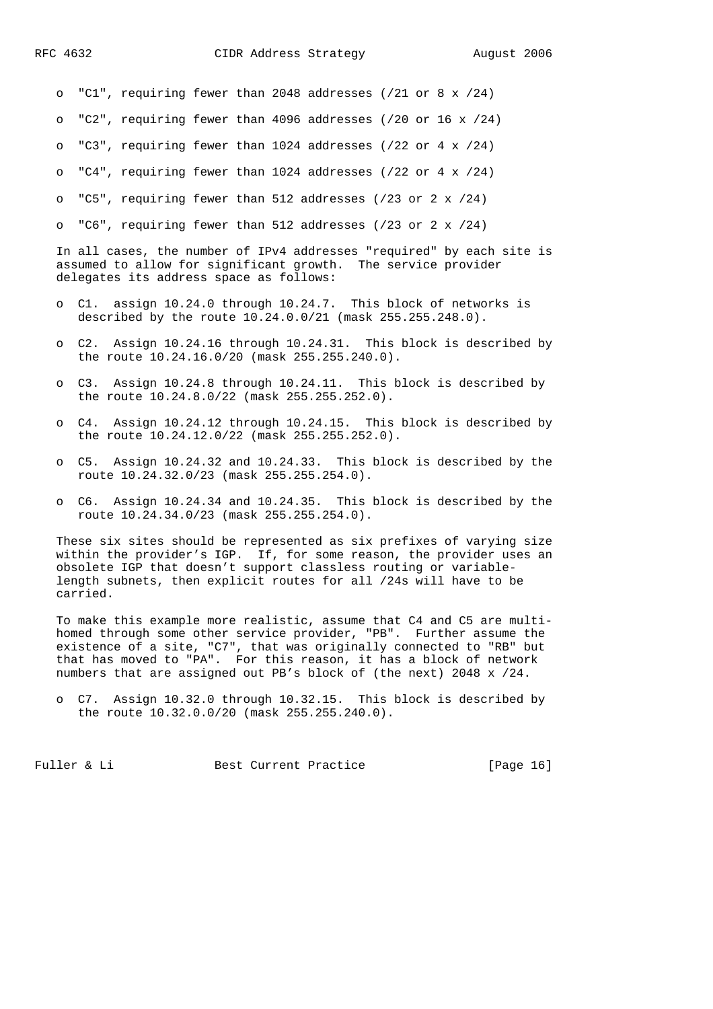o "C1", requiring fewer than 2048 addresses (/21 or 8 x /24)

o "C2", requiring fewer than 4096 addresses (/20 or 16 x /24)

o "C3", requiring fewer than 1024 addresses (/22 or 4 x /24)

o "C4", requiring fewer than 1024 addresses (/22 or 4 x /24)

o "C5", requiring fewer than 512 addresses  $(23$  or  $2 \times 24)$ 

o "C6", requiring fewer than 512 addresses (/23 or 2 x /24)

 In all cases, the number of IPv4 addresses "required" by each site is assumed to allow for significant growth. The service provider delegates its address space as follows:

- o C1. assign 10.24.0 through 10.24.7. This block of networks is described by the route 10.24.0.0/21 (mask 255.255.248.0).
- o C2. Assign 10.24.16 through 10.24.31. This block is described by the route 10.24.16.0/20 (mask 255.255.240.0).
- o C3. Assign 10.24.8 through 10.24.11. This block is described by the route 10.24.8.0/22 (mask 255.255.252.0).
- o C4. Assign 10.24.12 through 10.24.15. This block is described by the route 10.24.12.0/22 (mask 255.255.252.0).
- o C5. Assign 10.24.32 and 10.24.33. This block is described by the route 10.24.32.0/23 (mask 255.255.254.0).
- o C6. Assign 10.24.34 and 10.24.35. This block is described by the route 10.24.34.0/23 (mask 255.255.254.0).

 These six sites should be represented as six prefixes of varying size within the provider's IGP. If, for some reason, the provider uses an obsolete IGP that doesn't support classless routing or variable length subnets, then explicit routes for all /24s will have to be carried.

 To make this example more realistic, assume that C4 and C5 are multi homed through some other service provider, "PB". Further assume the existence of a site, "C7", that was originally connected to "RB" but that has moved to "PA". For this reason, it has a block of network numbers that are assigned out PB's block of (the next) 2048 x /24.

Fuller & Li Best Current Practice [Page 16]

o C7. Assign 10.32.0 through 10.32.15. This block is described by the route 10.32.0.0/20 (mask 255.255.240.0).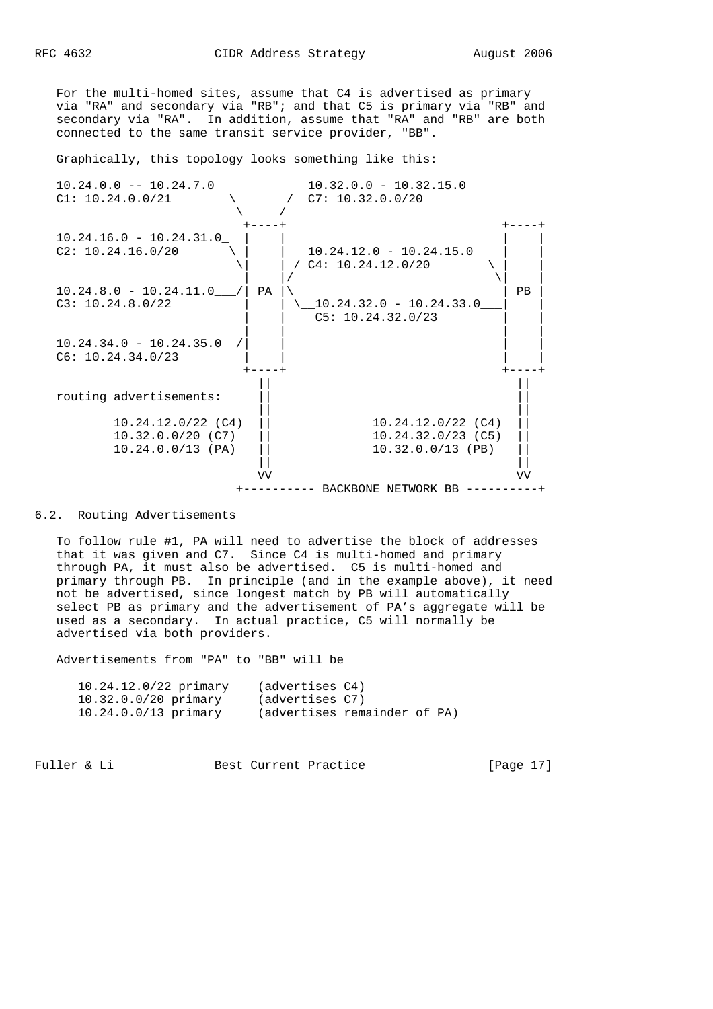For the multi-homed sites, assume that C4 is advertised as primary via "RA" and secondary via "RB"; and that C5 is primary via "RB" and secondary via "RA". In addition, assume that "RA" and "RB" are both connected to the same transit service provider, "BB".

Graphically, this topology looks something like this:



#### 6.2. Routing Advertisements

 To follow rule #1, PA will need to advertise the block of addresses that it was given and C7. Since C4 is multi-homed and primary through PA, it must also be advertised. C5 is multi-homed and primary through PB. In principle (and in the example above), it need not be advertised, since longest match by PB will automatically select PB as primary and the advertisement of PA's aggregate will be used as a secondary. In actual practice, C5 will normally be advertised via both providers.

Advertisements from "PA" to "BB" will be

| $10.24.12.0/22$ primary | (advertises C4)              |  |  |
|-------------------------|------------------------------|--|--|
| $10.32.0.0/20$ primary  | (advertises C7)              |  |  |
| $10.24.0.0/13$ primary  | (advertises remainder of PA) |  |  |

Fuller & Li Best Current Practice [Page 17]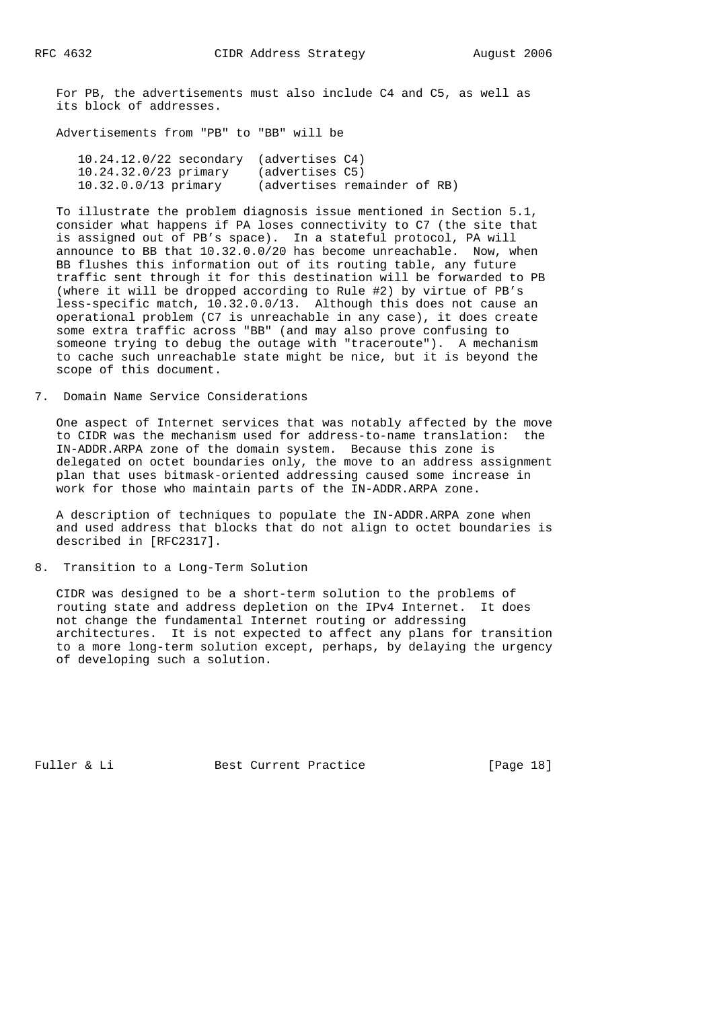For PB, the advertisements must also include C4 and C5, as well as its block of addresses.

Advertisements from "PB" to "BB" will be

| $10.24.12.0/22$ secondary (advertises $C4$ ) |                              |  |  |
|----------------------------------------------|------------------------------|--|--|
| $10.24.32.0/23$ primary                      | (advertises C5)              |  |  |
| $10.32.0.0/13$ primary                       | (advertises remainder of RB) |  |  |

 To illustrate the problem diagnosis issue mentioned in Section 5.1, consider what happens if PA loses connectivity to C7 (the site that is assigned out of PB's space). In a stateful protocol, PA will announce to BB that 10.32.0.0/20 has become unreachable. Now, when BB flushes this information out of its routing table, any future traffic sent through it for this destination will be forwarded to PB (where it will be dropped according to Rule #2) by virtue of PB's less-specific match, 10.32.0.0/13. Although this does not cause an operational problem (C7 is unreachable in any case), it does create some extra traffic across "BB" (and may also prove confusing to someone trying to debug the outage with "traceroute"). A mechanism to cache such unreachable state might be nice, but it is beyond the scope of this document.

7. Domain Name Service Considerations

 One aspect of Internet services that was notably affected by the move to CIDR was the mechanism used for address-to-name translation: the IN-ADDR.ARPA zone of the domain system. Because this zone is delegated on octet boundaries only, the move to an address assignment plan that uses bitmask-oriented addressing caused some increase in work for those who maintain parts of the IN-ADDR.ARPA zone.

 A description of techniques to populate the IN-ADDR.ARPA zone when and used address that blocks that do not align to octet boundaries is described in [RFC2317].

8. Transition to a Long-Term Solution

 CIDR was designed to be a short-term solution to the problems of routing state and address depletion on the IPv4 Internet. It does not change the fundamental Internet routing or addressing architectures. It is not expected to affect any plans for transition to a more long-term solution except, perhaps, by delaying the urgency of developing such a solution.

Fuller & Li Best Current Practice [Page 18]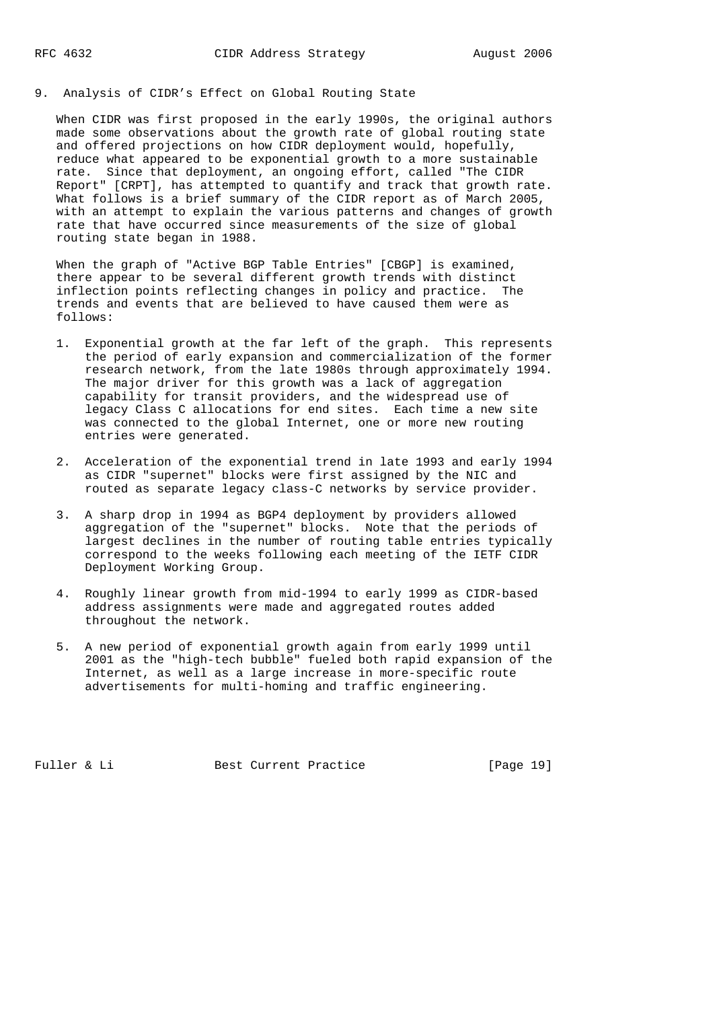9. Analysis of CIDR's Effect on Global Routing State

 When CIDR was first proposed in the early 1990s, the original authors made some observations about the growth rate of global routing state and offered projections on how CIDR deployment would, hopefully, reduce what appeared to be exponential growth to a more sustainable rate. Since that deployment, an ongoing effort, called "The CIDR Report" [CRPT], has attempted to quantify and track that growth rate. What follows is a brief summary of the CIDR report as of March 2005, with an attempt to explain the various patterns and changes of growth rate that have occurred since measurements of the size of global routing state began in 1988.

 When the graph of "Active BGP Table Entries" [CBGP] is examined, there appear to be several different growth trends with distinct inflection points reflecting changes in policy and practice. The trends and events that are believed to have caused them were as follows:

- 1. Exponential growth at the far left of the graph. This represents the period of early expansion and commercialization of the former research network, from the late 1980s through approximately 1994. The major driver for this growth was a lack of aggregation capability for transit providers, and the widespread use of legacy Class C allocations for end sites. Each time a new site was connected to the global Internet, one or more new routing entries were generated.
- 2. Acceleration of the exponential trend in late 1993 and early 1994 as CIDR "supernet" blocks were first assigned by the NIC and routed as separate legacy class-C networks by service provider.
- 3. A sharp drop in 1994 as BGP4 deployment by providers allowed aggregation of the "supernet" blocks. Note that the periods of largest declines in the number of routing table entries typically correspond to the weeks following each meeting of the IETF CIDR Deployment Working Group.
- 4. Roughly linear growth from mid-1994 to early 1999 as CIDR-based address assignments were made and aggregated routes added throughout the network.
- 5. A new period of exponential growth again from early 1999 until 2001 as the "high-tech bubble" fueled both rapid expansion of the Internet, as well as a large increase in more-specific route advertisements for multi-homing and traffic engineering.

Fuller & Li Best Current Practice [Page 19]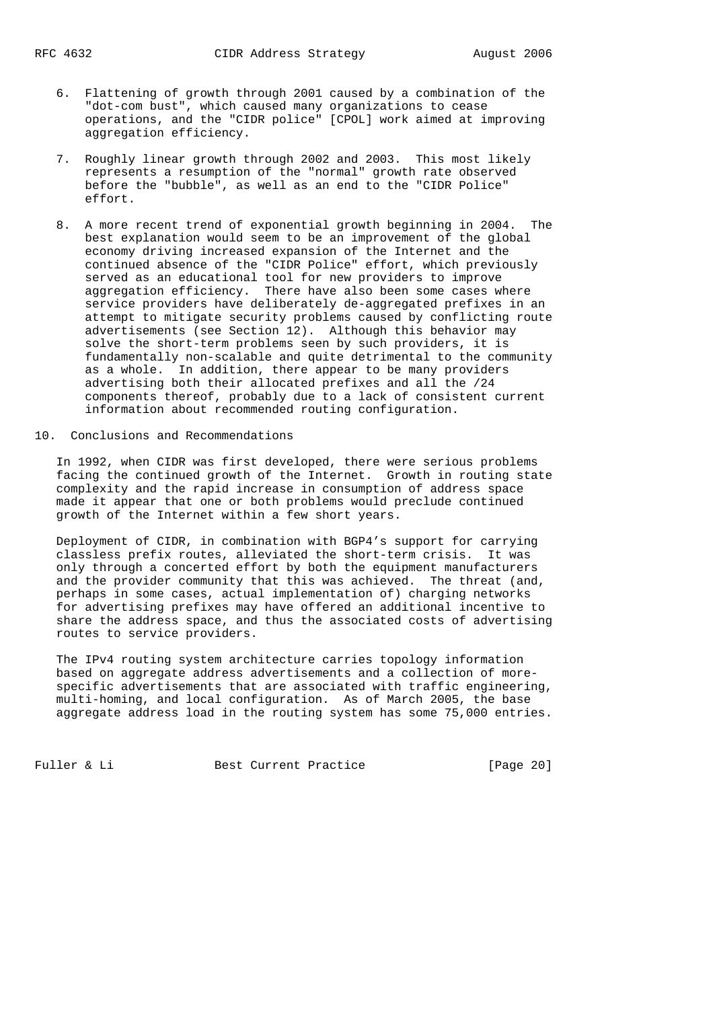- 6. Flattening of growth through 2001 caused by a combination of the "dot-com bust", which caused many organizations to cease operations, and the "CIDR police" [CPOL] work aimed at improving aggregation efficiency.
- 7. Roughly linear growth through 2002 and 2003. This most likely represents a resumption of the "normal" growth rate observed before the "bubble", as well as an end to the "CIDR Police" effort.
- 8. A more recent trend of exponential growth beginning in 2004. The best explanation would seem to be an improvement of the global economy driving increased expansion of the Internet and the continued absence of the "CIDR Police" effort, which previously served as an educational tool for new providers to improve aggregation efficiency. There have also been some cases where service providers have deliberately de-aggregated prefixes in an attempt to mitigate security problems caused by conflicting route advertisements (see Section 12). Although this behavior may solve the short-term problems seen by such providers, it is fundamentally non-scalable and quite detrimental to the community as a whole. In addition, there appear to be many providers advertising both their allocated prefixes and all the /24 components thereof, probably due to a lack of consistent current information about recommended routing configuration.
- 10. Conclusions and Recommendations

 In 1992, when CIDR was first developed, there were serious problems facing the continued growth of the Internet. Growth in routing state complexity and the rapid increase in consumption of address space made it appear that one or both problems would preclude continued growth of the Internet within a few short years.

 Deployment of CIDR, in combination with BGP4's support for carrying classless prefix routes, alleviated the short-term crisis. It was only through a concerted effort by both the equipment manufacturers and the provider community that this was achieved. The threat (and, perhaps in some cases, actual implementation of) charging networks for advertising prefixes may have offered an additional incentive to share the address space, and thus the associated costs of advertising routes to service providers.

 The IPv4 routing system architecture carries topology information based on aggregate address advertisements and a collection of more specific advertisements that are associated with traffic engineering, multi-homing, and local configuration. As of March 2005, the base aggregate address load in the routing system has some 75,000 entries.

Fuller & Li Best Current Practice [Page 20]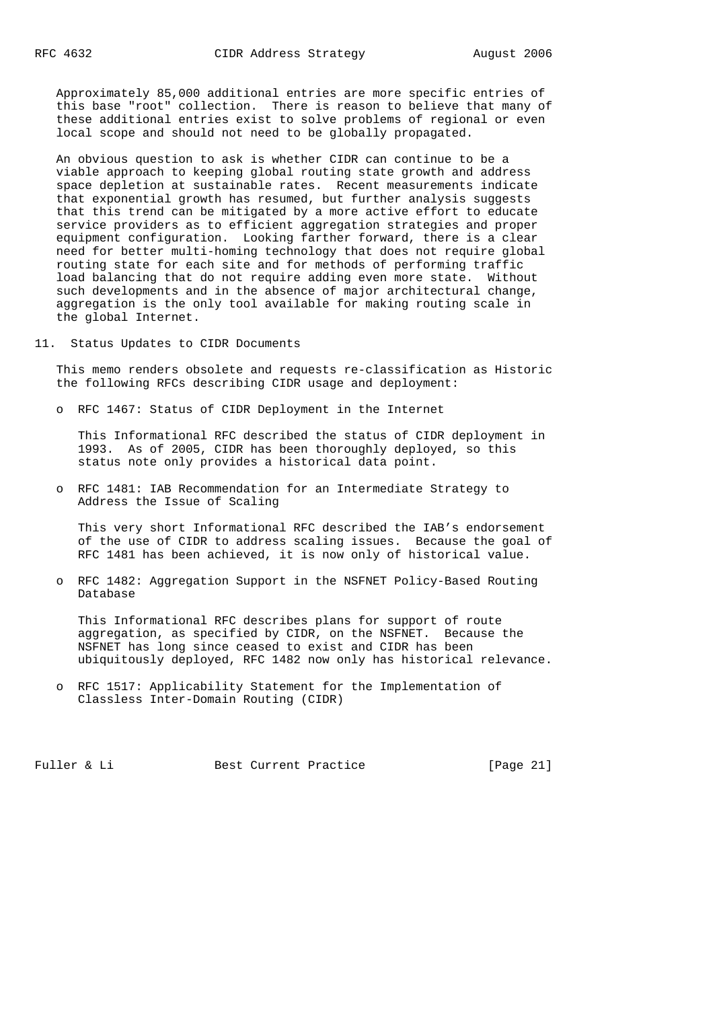Approximately 85,000 additional entries are more specific entries of this base "root" collection. There is reason to believe that many of these additional entries exist to solve problems of regional or even local scope and should not need to be globally propagated.

 An obvious question to ask is whether CIDR can continue to be a viable approach to keeping global routing state growth and address space depletion at sustainable rates. Recent measurements indicate that exponential growth has resumed, but further analysis suggests that this trend can be mitigated by a more active effort to educate service providers as to efficient aggregation strategies and proper equipment configuration. Looking farther forward, there is a clear need for better multi-homing technology that does not require global routing state for each site and for methods of performing traffic load balancing that do not require adding even more state. Without such developments and in the absence of major architectural change, aggregation is the only tool available for making routing scale in the global Internet.

11. Status Updates to CIDR Documents

 This memo renders obsolete and requests re-classification as Historic the following RFCs describing CIDR usage and deployment:

o RFC 1467: Status of CIDR Deployment in the Internet

 This Informational RFC described the status of CIDR deployment in 1993. As of 2005, CIDR has been thoroughly deployed, so this status note only provides a historical data point.

 o RFC 1481: IAB Recommendation for an Intermediate Strategy to Address the Issue of Scaling

 This very short Informational RFC described the IAB's endorsement of the use of CIDR to address scaling issues. Because the goal of RFC 1481 has been achieved, it is now only of historical value.

 o RFC 1482: Aggregation Support in the NSFNET Policy-Based Routing Database

 This Informational RFC describes plans for support of route aggregation, as specified by CIDR, on the NSFNET. Because the NSFNET has long since ceased to exist and CIDR has been ubiquitously deployed, RFC 1482 now only has historical relevance.

 o RFC 1517: Applicability Statement for the Implementation of Classless Inter-Domain Routing (CIDR)

Fuller & Li Best Current Practice [Page 21]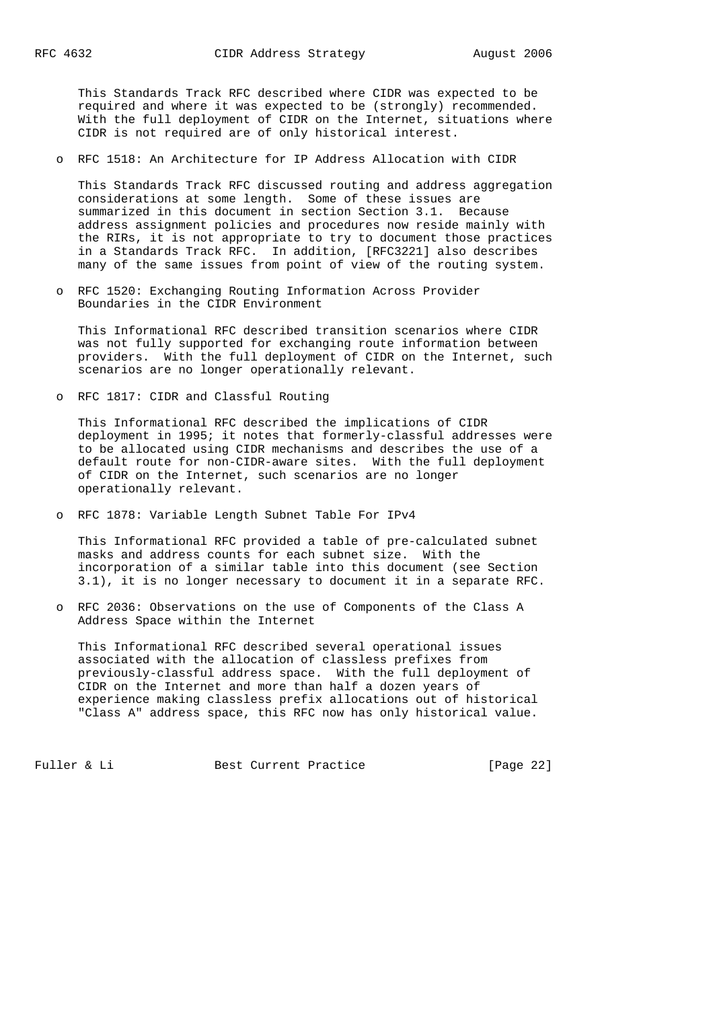This Standards Track RFC described where CIDR was expected to be required and where it was expected to be (strongly) recommended. With the full deployment of CIDR on the Internet, situations where CIDR is not required are of only historical interest.

o RFC 1518: An Architecture for IP Address Allocation with CIDR

 This Standards Track RFC discussed routing and address aggregation considerations at some length. Some of these issues are summarized in this document in section Section 3.1. Because address assignment policies and procedures now reside mainly with the RIRs, it is not appropriate to try to document those practices in a Standards Track RFC. In addition, [RFC3221] also describes many of the same issues from point of view of the routing system.

 o RFC 1520: Exchanging Routing Information Across Provider Boundaries in the CIDR Environment

 This Informational RFC described transition scenarios where CIDR was not fully supported for exchanging route information between providers. With the full deployment of CIDR on the Internet, such scenarios are no longer operationally relevant.

o RFC 1817: CIDR and Classful Routing

 This Informational RFC described the implications of CIDR deployment in 1995; it notes that formerly-classful addresses were to be allocated using CIDR mechanisms and describes the use of a default route for non-CIDR-aware sites. With the full deployment of CIDR on the Internet, such scenarios are no longer operationally relevant.

o RFC 1878: Variable Length Subnet Table For IPv4

 This Informational RFC provided a table of pre-calculated subnet masks and address counts for each subnet size. With the incorporation of a similar table into this document (see Section 3.1), it is no longer necessary to document it in a separate RFC.

 o RFC 2036: Observations on the use of Components of the Class A Address Space within the Internet

 This Informational RFC described several operational issues associated with the allocation of classless prefixes from previously-classful address space. With the full deployment of CIDR on the Internet and more than half a dozen years of experience making classless prefix allocations out of historical "Class A" address space, this RFC now has only historical value.

Fuller & Li Best Current Practice [Page 22]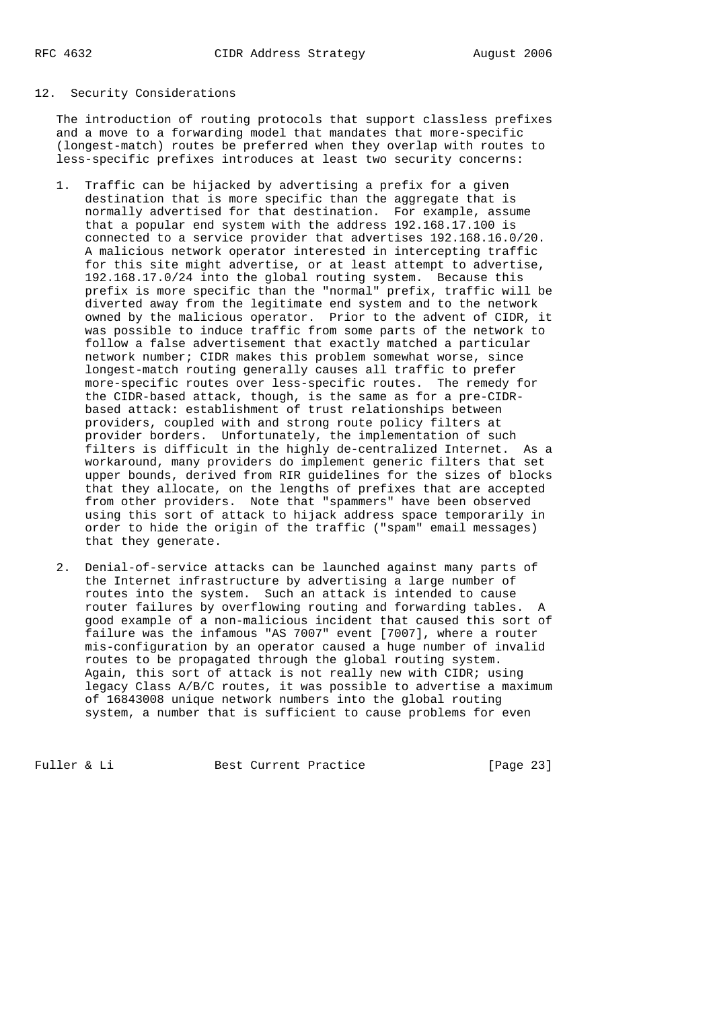### 12. Security Considerations

 The introduction of routing protocols that support classless prefixes and a move to a forwarding model that mandates that more-specific (longest-match) routes be preferred when they overlap with routes to less-specific prefixes introduces at least two security concerns:

- 1. Traffic can be hijacked by advertising a prefix for a given destination that is more specific than the aggregate that is normally advertised for that destination. For example, assume that a popular end system with the address 192.168.17.100 is connected to a service provider that advertises 192.168.16.0/20. A malicious network operator interested in intercepting traffic for this site might advertise, or at least attempt to advertise, 192.168.17.0/24 into the global routing system. Because this prefix is more specific than the "normal" prefix, traffic will be diverted away from the legitimate end system and to the network owned by the malicious operator. Prior to the advent of CIDR, it was possible to induce traffic from some parts of the network to follow a false advertisement that exactly matched a particular network number; CIDR makes this problem somewhat worse, since longest-match routing generally causes all traffic to prefer more-specific routes over less-specific routes. The remedy for the CIDR-based attack, though, is the same as for a pre-CIDR based attack: establishment of trust relationships between providers, coupled with and strong route policy filters at provider borders. Unfortunately, the implementation of such filters is difficult in the highly de-centralized Internet. As a workaround, many providers do implement generic filters that set upper bounds, derived from RIR guidelines for the sizes of blocks that they allocate, on the lengths of prefixes that are accepted from other providers. Note that "spammers" have been observed using this sort of attack to hijack address space temporarily in order to hide the origin of the traffic ("spam" email messages) that they generate.
- 2. Denial-of-service attacks can be launched against many parts of the Internet infrastructure by advertising a large number of routes into the system. Such an attack is intended to cause router failures by overflowing routing and forwarding tables. A good example of a non-malicious incident that caused this sort of failure was the infamous "AS 7007" event [7007], where a router mis-configuration by an operator caused a huge number of invalid routes to be propagated through the global routing system. Again, this sort of attack is not really new with CIDR; using legacy Class A/B/C routes, it was possible to advertise a maximum of 16843008 unique network numbers into the global routing system, a number that is sufficient to cause problems for even

Fuller & Li Best Current Practice [Page 23]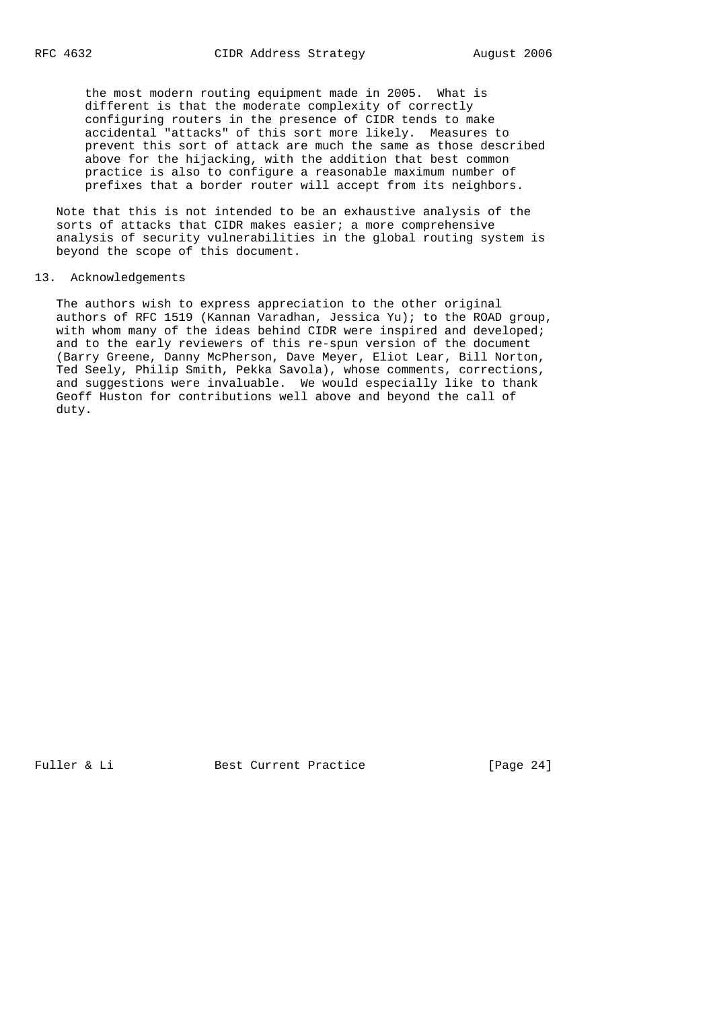the most modern routing equipment made in 2005. What is different is that the moderate complexity of correctly configuring routers in the presence of CIDR tends to make accidental "attacks" of this sort more likely. Measures to prevent this sort of attack are much the same as those described above for the hijacking, with the addition that best common practice is also to configure a reasonable maximum number of prefixes that a border router will accept from its neighbors.

 Note that this is not intended to be an exhaustive analysis of the sorts of attacks that CIDR makes easier; a more comprehensive analysis of security vulnerabilities in the global routing system is beyond the scope of this document.

### 13. Acknowledgements

 The authors wish to express appreciation to the other original authors of RFC 1519 (Kannan Varadhan, Jessica Yu); to the ROAD group, with whom many of the ideas behind CIDR were inspired and developed; and to the early reviewers of this re-spun version of the document (Barry Greene, Danny McPherson, Dave Meyer, Eliot Lear, Bill Norton, Ted Seely, Philip Smith, Pekka Savola), whose comments, corrections, and suggestions were invaluable. We would especially like to thank Geoff Huston for contributions well above and beyond the call of duty.

Fuller & Li Best Current Practice [Page 24]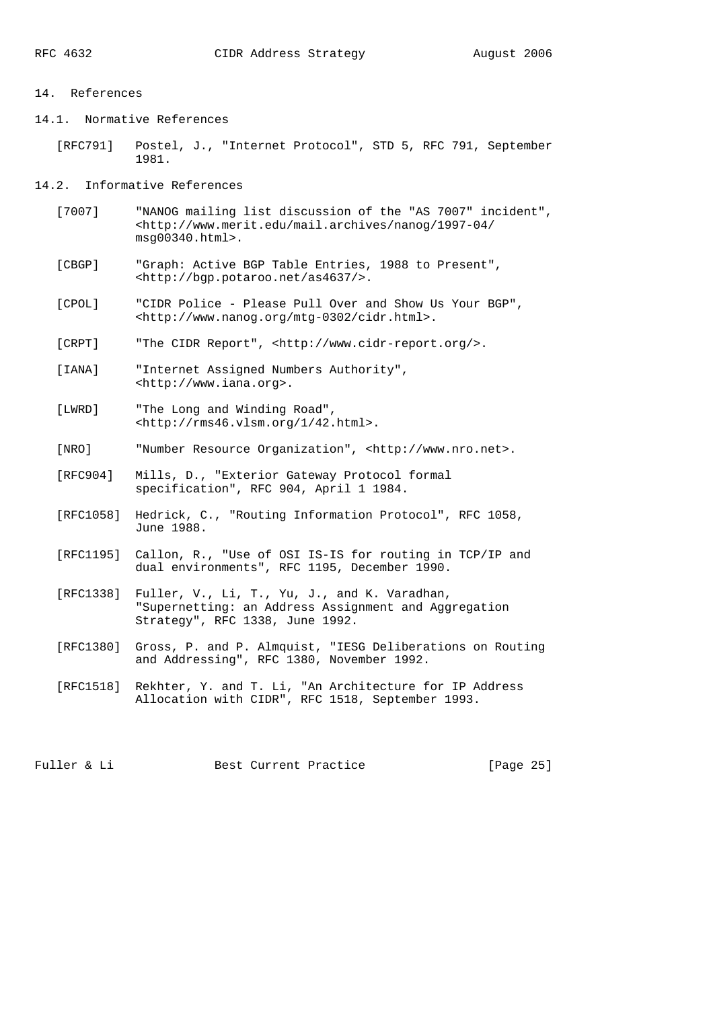#### 14. References

14.1. Normative References

```
 [RFC791] Postel, J., "Internet Protocol", STD 5, RFC 791, September
1981.
```
14.2. Informative References

- [7007] "NANOG mailing list discussion of the "AS 7007" incident", <http://www.merit.edu/mail.archives/nanog/1997-04/ msg00340.html>.
- [CBGP] "Graph: Active BGP Table Entries, 1988 to Present", <http://bgp.potaroo.net/as4637/>.
- [CPOL] "CIDR Police Please Pull Over and Show Us Your BGP", <http://www.nanog.org/mtg-0302/cidr.html>.

[CRPT] "The CIDR Report", <http://www.cidr-report.org/>.

 [IANA] "Internet Assigned Numbers Authority", <http://www.iana.org>.

- [LWRD] "The Long and Winding Road", <http://rms46.vlsm.org/1/42.html>.
- [NRO] "Number Resource Organization", <http://www.nro.net>.
- [RFC904] Mills, D., "Exterior Gateway Protocol formal specification", RFC 904, April 1 1984.
- [RFC1058] Hedrick, C., "Routing Information Protocol", RFC 1058, June 1988.
- [RFC1195] Callon, R., "Use of OSI IS-IS for routing in TCP/IP and dual environments", RFC 1195, December 1990.
- [RFC1338] Fuller, V., Li, T., Yu, J., and K. Varadhan, "Supernetting: an Address Assignment and Aggregation Strategy", RFC 1338, June 1992.
- [RFC1380] Gross, P. and P. Almquist, "IESG Deliberations on Routing and Addressing", RFC 1380, November 1992.
- [RFC1518] Rekhter, Y. and T. Li, "An Architecture for IP Address Allocation with CIDR", RFC 1518, September 1993.

Fuller & Li Best Current Practice [Page 25]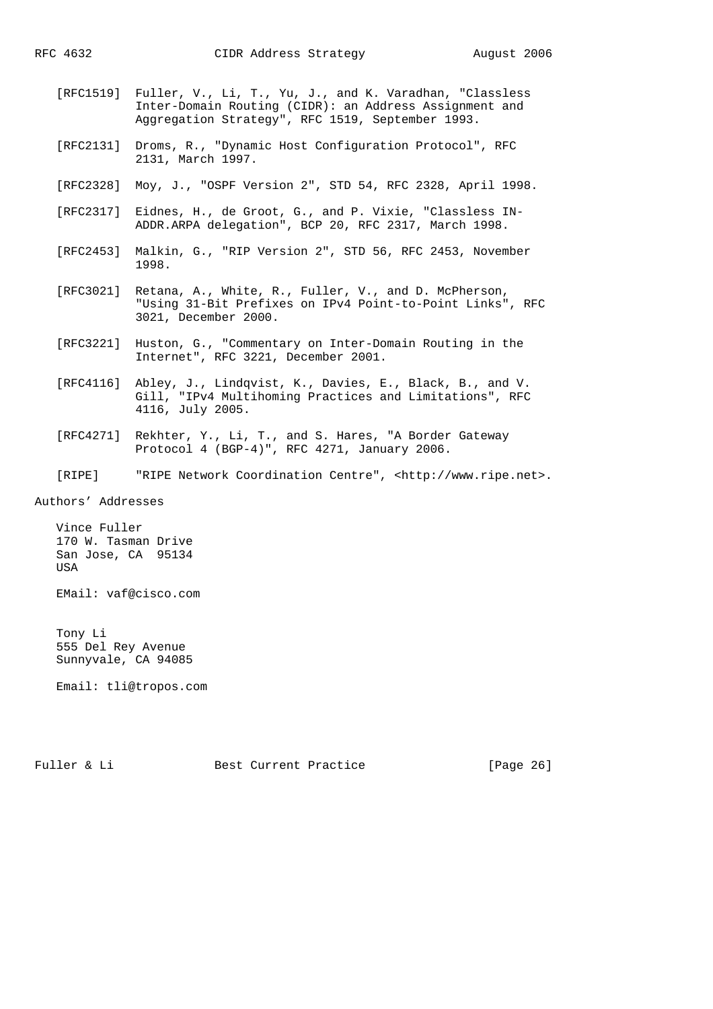- [RFC1519] Fuller, V., Li, T., Yu, J., and K. Varadhan, "Classless Inter-Domain Routing (CIDR): an Address Assignment and Aggregation Strategy", RFC 1519, September 1993.
- [RFC2131] Droms, R., "Dynamic Host Configuration Protocol", RFC 2131, March 1997.
- [RFC2328] Moy, J., "OSPF Version 2", STD 54, RFC 2328, April 1998.
- [RFC2317] Eidnes, H., de Groot, G., and P. Vixie, "Classless IN- ADDR.ARPA delegation", BCP 20, RFC 2317, March 1998.
- [RFC2453] Malkin, G., "RIP Version 2", STD 56, RFC 2453, November 1998.
- [RFC3021] Retana, A., White, R., Fuller, V., and D. McPherson, "Using 31-Bit Prefixes on IPv4 Point-to-Point Links", RFC 3021, December 2000.
- [RFC3221] Huston, G., "Commentary on Inter-Domain Routing in the Internet", RFC 3221, December 2001.
- [RFC4116] Abley, J., Lindqvist, K., Davies, E., Black, B., and V. Gill, "IPv4 Multihoming Practices and Limitations", RFC 4116, July 2005.
- [RFC4271] Rekhter, Y., Li, T., and S. Hares, "A Border Gateway Protocol 4 (BGP-4)", RFC 4271, January 2006.
- [RIPE] "RIPE Network Coordination Centre", <http://www.ripe.net>.

Authors' Addresses

 Vince Fuller 170 W. Tasman Drive San Jose, CA 95134 USA

EMail: vaf@cisco.com

 Tony Li 555 Del Rey Avenue Sunnyvale, CA 94085

Email: tli@tropos.com

Fuller & Li Best Current Practice [Page 26]